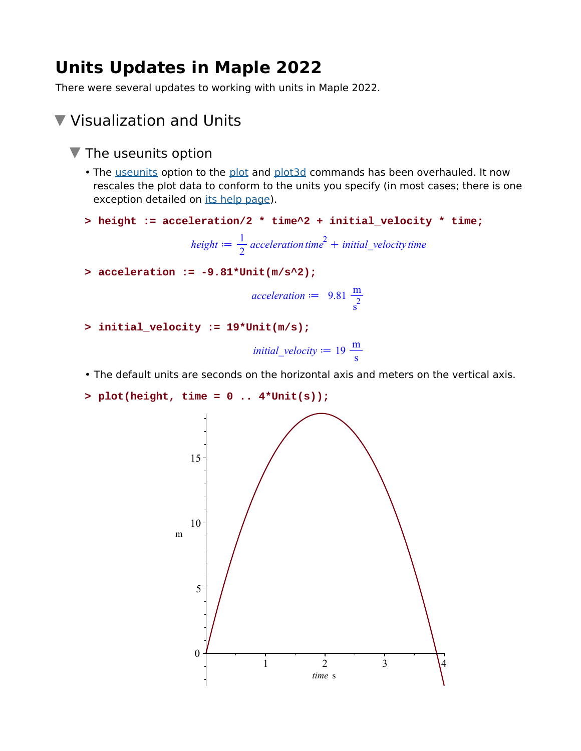# **Units Updates in Maple 2022**

There were several updates to working with units in Maple 2022.

### Visualization and Units

- $\blacktriangledown$  The useunits option
	- The useunits option to the plot and plot3d commands has been overhauled. It now rescales the plot data to conform to the units you specify (in most cases; there is one exception detailed on its help page).
	- **> height := acceleration/2 \* time^2 + initial\_velocity \* time;**

 $height := \frac{1}{2}$  *acceleration*  $time^2 + initial\_velocity$  *time* 

**> acceleration := -9.81\*Unit(m/s^2);**

acceleration := 
$$
9.81 \frac{m}{s^2}
$$

**> initial\_velocity := 19\*Unit(m/s);**

```
initial_velocity := 19 \frac{m}{s}
```
- The default units are seconds on the horizontal axis and meters on the vertical axis.
- **> plot(height, time = 0 .. 4\*Unit(s));**

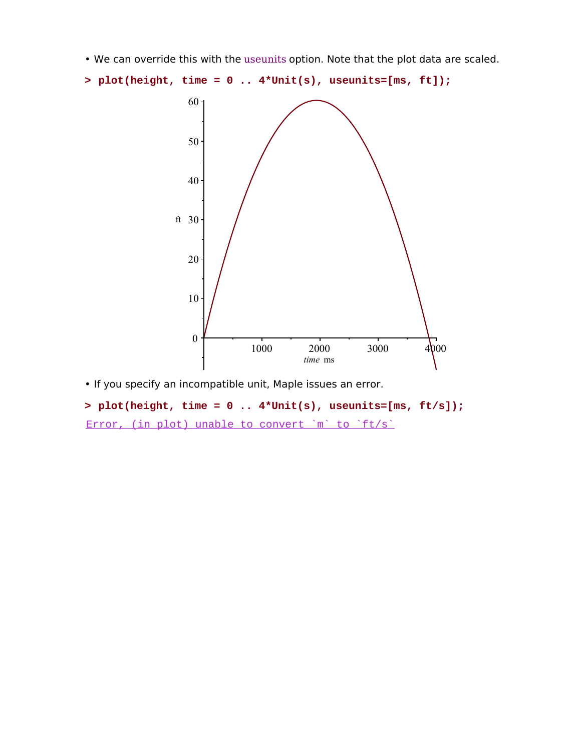• We can override this with the useunits option. Note that the plot data are scaled.

```
> plot(height, time = 0 .. 4*Unit(s), useunits=[ms, ft]);
```


• If you specify an incompatible unit, Maple issues an error.

#### **> plot(height, time = 0 .. 4\*Unit(s), useunits=[ms, ft/s]);**

Error, (in plot) unable to convert `m` to `ft/s`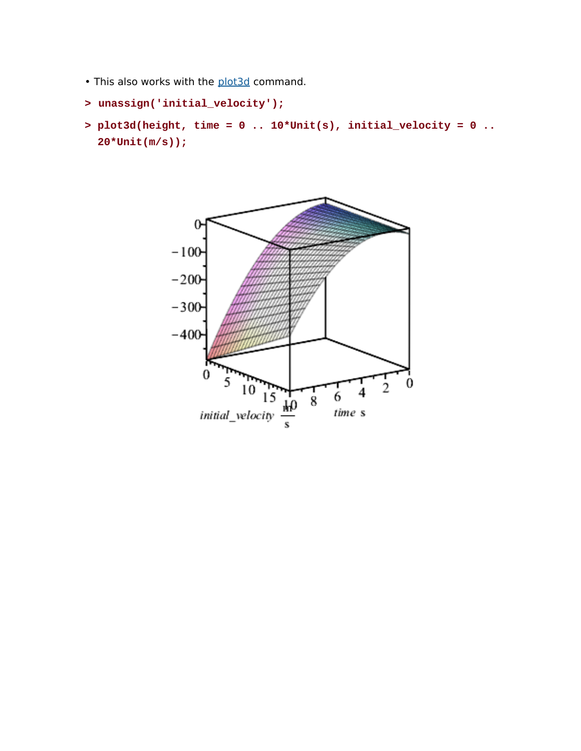• This also works with the plot3d command.

```
> unassign('initial_velocity');
```
**plot3d(height, time = 0 .. 10\*Unit(s), initial\_velocity = 0 .. > 20\*Unit(m/s));**

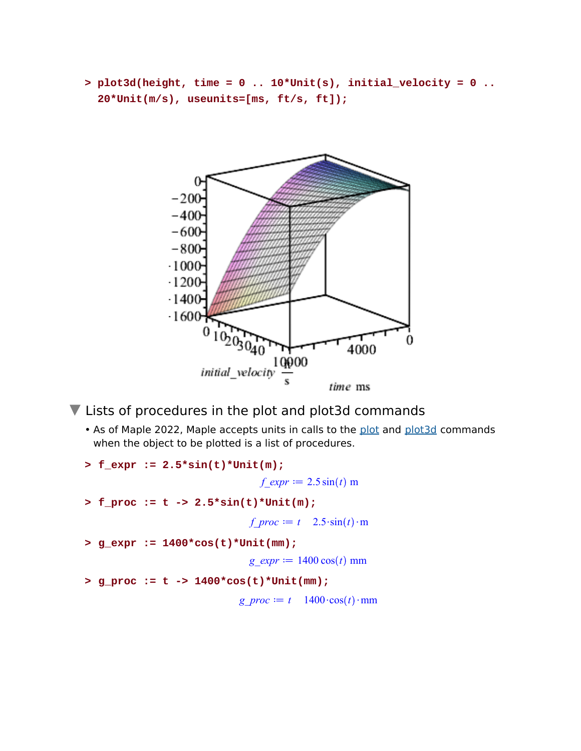**plot3d(height, time = 0 .. 10\*Unit(s), initial\_velocity = 0 .. > 20\*Unit(m/s), useunits=[ms, ft/s, ft]);**



▼ Lists of procedures in the plot and plot3d commands

• As of Maple 2022, Maple accepts units in calls to the plot and plot3d commands when the object to be plotted is a list of procedures.

```
> f expr := 2.5*sin(t)*Unit(m);f expr := 2.5 \sin(t) m
> f_proc := t -> 2.5*sin(t)*Unit(m);
                                 f_proc := t \quad 2.5 \cdot \sin(t) \cdot m> g_expr := 1400*cos(t)*Unit(mm);
                                 g_expr := 1400 \cos(t) mm
> g_proc := t -> 1400*cos(t)*Unit(mm);
                               g_proc := t 1400\cdot \cos(t) \cdot \text{mm}
```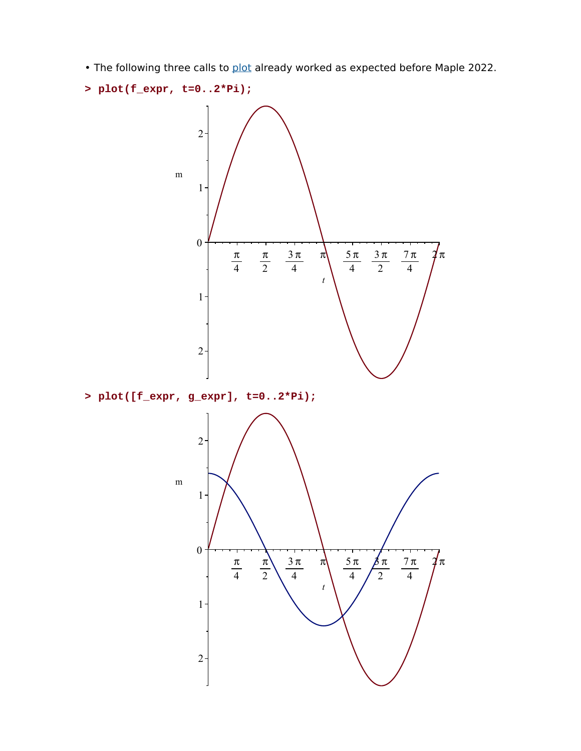• The following three calls to plot already worked as expected before Maple 2022.

```
> plot(f_expr, t=0..2*Pi);
```


**> plot([f\_expr, g\_expr], t=0..2\*Pi);**

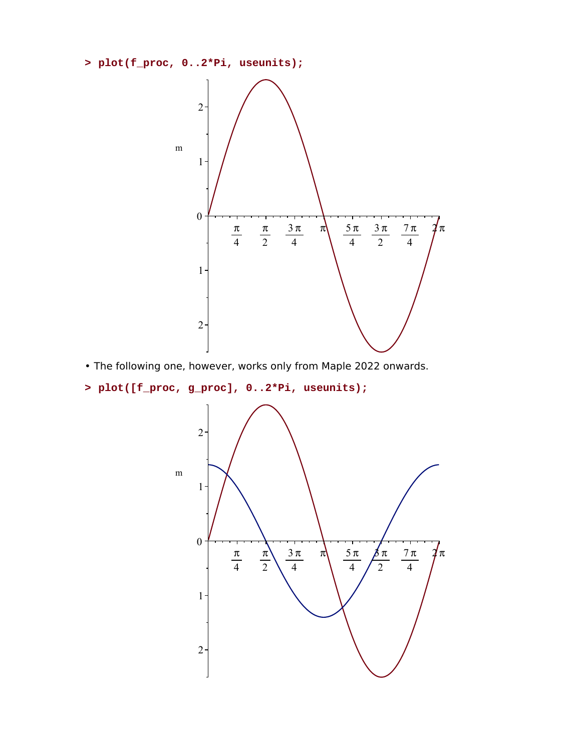```
> plot(f_proc, 0..2*Pi, useunits);
```


• The following one, however, works only from Maple 2022 onwards.

**> plot([f\_proc, g\_proc], 0..2\*Pi, useunits);**

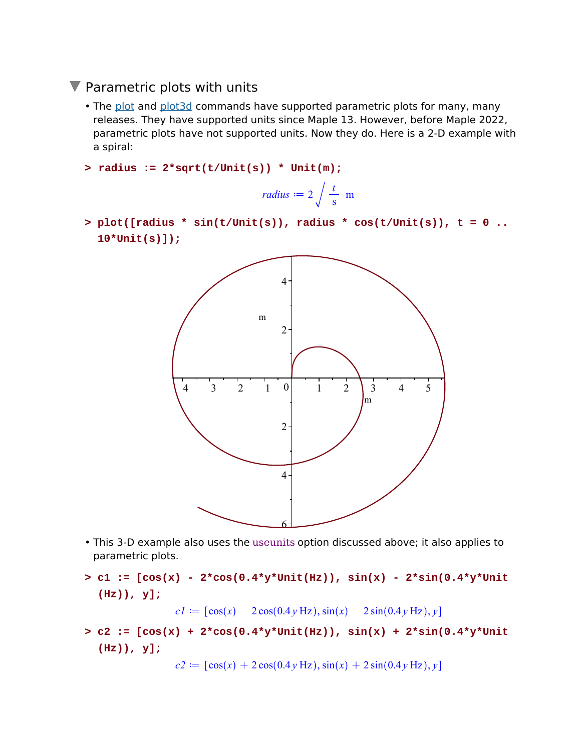### $\nabla$  Parametric plots with units

- The <u>plot</u> and plot3d commands have supported parametric plots for many, many releases. They have supported units since Maple 13. However, before Maple 2022, parametric plots have not supported units. Now they do. Here is a 2-D example with a spiral:
- **> radius := 2\*sqrt(t/Unit(s)) \* Unit(m);**

radius := 
$$
2\sqrt{\frac{t}{s}}
$$
 m

**plot([radius \* sin(t/Unit(s)), radius \* cos(t/Unit(s)), t = 0 .. > 10\*Unit(s)]);**



- This 3-D example also uses the useunits option discussed above; it also applies to parametric plots.
- $> c1 := [\cos(x) 2*\cos(0.4* y*\text{Unit(Hz)}), \sin(x) 2*\sin(0.4* y*\text{Unit})$ **(Hz)), y];**  $c1 \coloneqq [\cos(x) \quad 2\cos(0.4y \text{ Hz}), \sin(x) \quad 2\sin(0.4y \text{ Hz}), y]$
- **c2 := [cos(x) + 2\*cos(0.4\*y\*Unit(Hz)), sin(x) + 2\*sin(0.4\*y\*Unit > (Hz)), y];**

 $c2 \coloneqq [\cos(x) + 2\cos(0.4y \text{ Hz}), \sin(x) + 2\sin(0.4y \text{ Hz}), y]$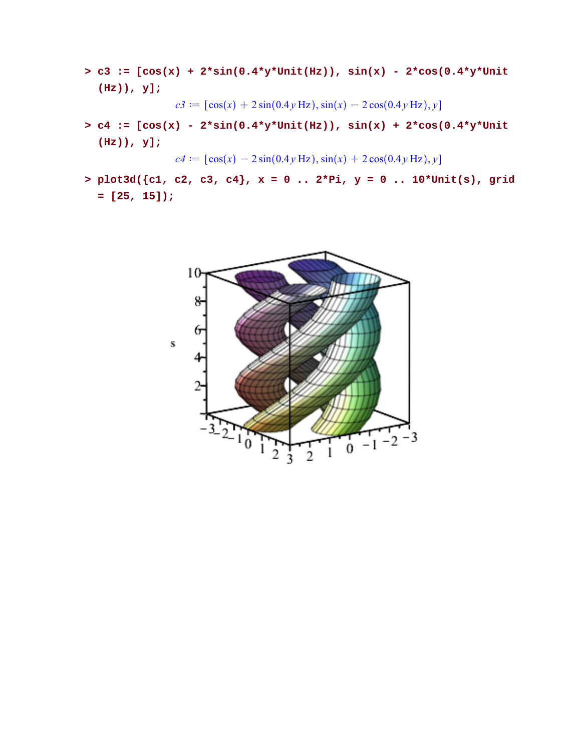**c3 := [cos(x) + 2\*sin(0.4\*y\*Unit(Hz)), sin(x) - 2\*cos(0.4\*y\*Unit > (Hz)), y];**

 $c3 = [\cos(x) + 2\sin(0.4y \text{ Hz}), \sin(x) - 2\cos(0.4y \text{ Hz}), y]$ 

 $> c4$  :=  $[cos(x) - 2*sin(0.4*y*Unit(Hz))$ ,  $sin(x) + 2*cos(0.4*y*Unit$ **(Hz)), y];**

 $c4 \coloneqq [\cos(x) - 2\sin(0.4y \text{ Hz}), \sin(x) + 2\cos(0.4y \text{ Hz}), y]$ 

**plot3d({c1, c2, c3, c4}, x = 0 .. 2\*Pi, y = 0 .. 10\*Unit(s), grid > = [25, 15]);**

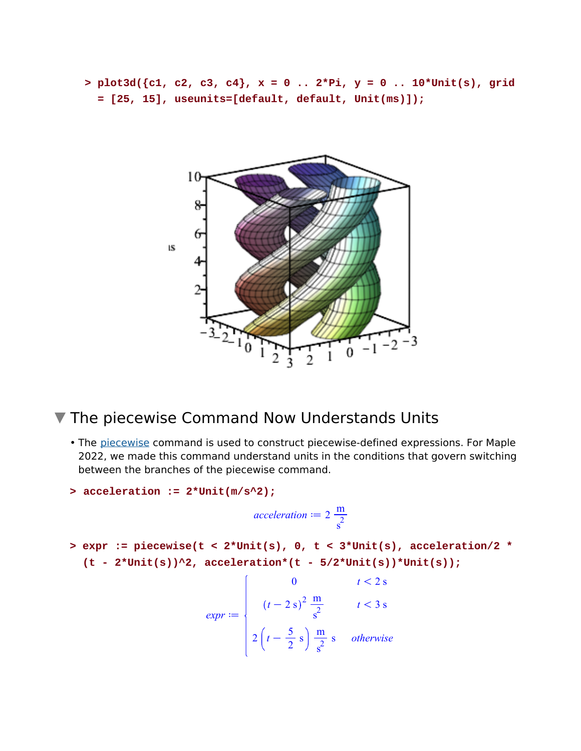**plot3d({c1, c2, c3, c4}, x = 0 .. 2\*Pi, y = 0 .. 10\*Unit(s), grid > = [25, 15], useunits=[default, default, Unit(ms)]);**



### **V** The piecewise Command Now Understands Units

• The piecewise command is used to construct piecewise-defined expressions. For Maple 2022, we made this command understand units in the conditions that govern switching between the branches of the piecewise command.

```
> acceleration := 2*Unit(m/s^2);
```
*acceleration*  $:= 2 \frac{m}{2}$  $s^2$ 

**expr := piecewise(t < 2\*Unit(s), 0, t < 3\*Unit(s), acceleration/2 \* >**   $(t - 2^{\star}\text{Unit}(s))^2$ , acceleration\* $(t - 5/2^{\star}\text{Unit}(s))^*$ Unit(s));

$$
expr := \begin{cases} 0 & t < 2 \text{ s} \\ (t - 2 \text{ s})^2 \frac{\text{m}}{\text{s}} & t < 3 \text{ s} \\ 2\left(t - \frac{5}{2} \text{ s}\right) \frac{\text{m}}{\text{s}} \text{ s} & otherwise \end{cases}
$$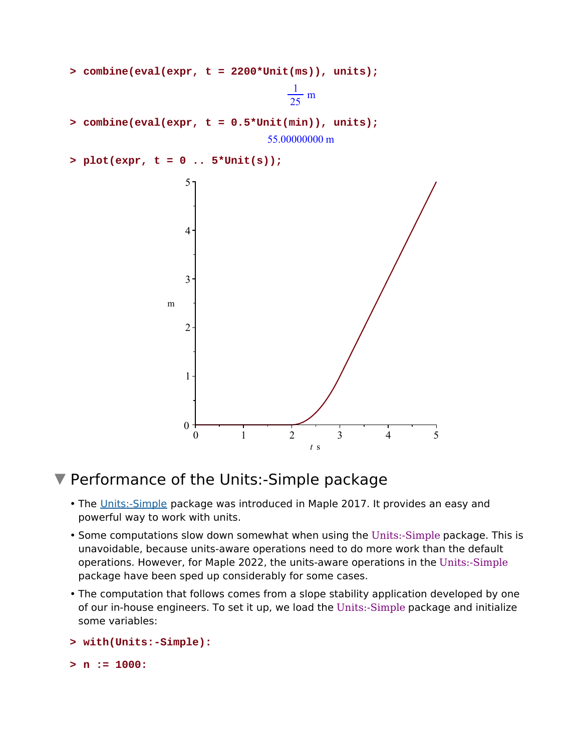

## ▼ Performance of the Units:-Simple package

- The Units:-Simple package was introduced in Maple 2017. It provides an easy and powerful way to work with units.
- Some computations slow down somewhat when using the Units:-Simple package. This is unavoidable, because units-aware operations need to do more work than the default operations. However, for Maple 2022, the units-aware operations in the Units:-Simple package have been sped up considerably for some cases.
- The computation that follows comes from a slope stability application developed by one of our in-house engineers. To set it up, we load the Units:-Simple package and initialize some variables:

```
> with(Units:-Simple):
```

```
> n := 1000:
```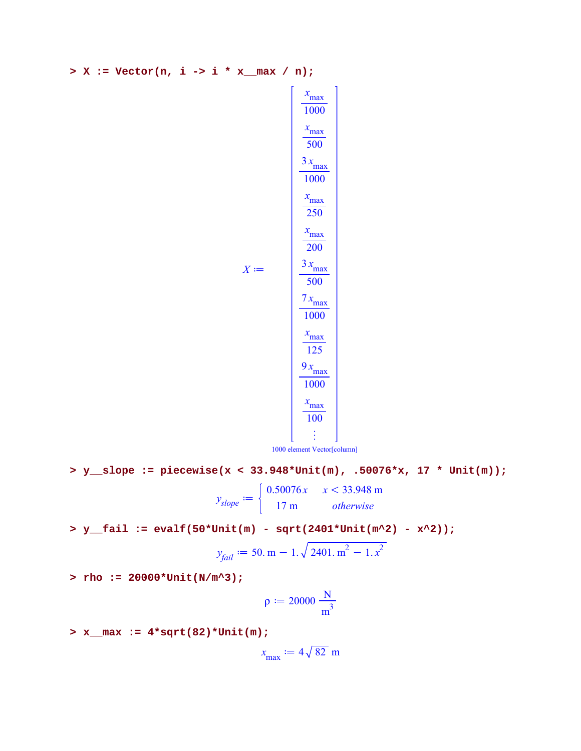**> X := Vector(n, i -> i \* x\_\_max / n);**



 $X \coloneqq$ 

1000 element Vector[column]

**> y\_\_slope := piecewise(x < 33.948\*Unit(m), .50076\*x, 17 \* Unit(m));**

 $y$ <sub>slope</sub>  $:=$  $0.50076x \quad x < 33.948 \text{ m}$ 17 m *otherwise*

**> y\_\_fail := evalf(50\*Unit(m) - sqrt(2401\*Unit(m^2) - x^2));**

$$
y_{fail} := 50. \,\mathrm{m} - 1. \sqrt{2401. \,\mathrm{m}^2 - 1. \,\mathrm{x}^2}
$$

**> rho := 20000\*Unit(N/m^3);**

$$
\rho\coloneqq 20000\ \frac{N}{m^3}
$$

**> x\_\_max := 4\*sqrt(82)\*Unit(m);**

 $x_{\text{max}} \coloneqq 4\sqrt{82}$  m